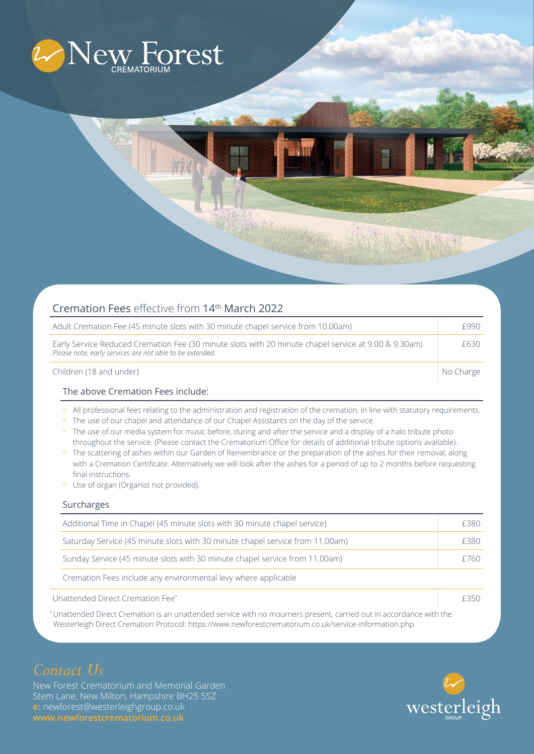

| Cremation Fees effective from 14th March 2022                                                                                                                    |           |
|------------------------------------------------------------------------------------------------------------------------------------------------------------------|-----------|
| Adult Cremation Fee (45 minute slots with 30 minute chapel service from 10.00am)                                                                                 | £990      |
| Early Service Reduced Cremation Fee (30 minute slots with 20 minute chapel service at 9.00 & 9.30am)<br>Please note, early services are not able to be extended. | £630      |
| Children (18 and under)                                                                                                                                          | No Charge |

### The above Cremation Fees include:

- All professional fees relating to the administration and registration of the cremation, in line with statutory requirements.
- The use of our chapel and attendance of our Chapel Assistants on the day of the service.
- The use of our media system for music before, during and after the service and a display of a halo tribute photo throughout the service. (Please contact the Crematorium Office for details of additional tribute options available).
- The scattering of ashes within our Garden of Remembrance or the preparation of the ashes for their removal, along with a Cremation Certificate. Alternatively we will look after the ashes for a period of up to 2 months before requesting final instructions.
- Use of organ (Organist not provided).

## Surcharges

|                                  | Additional Time in Chapel (45 minute slots with 30 minute chapel service)     | £380 |  |
|----------------------------------|-------------------------------------------------------------------------------|------|--|
|                                  | Saturday Service (45 minute slots with 30 minute chapel service from 11.00am) | £380 |  |
|                                  | Sunday Service (45 minute slots with 30 minute chapel service from 11.00am)   | £760 |  |
|                                  | Cremation Fees include any environmental levy where applicable                |      |  |
| Unattended Direct Cremation Fee* |                                                                               |      |  |

\* Unattended Direct Cremation is an unattended service with no mourners present, carried out in accordance with the Westerleigh Direct Cremation Protocol: https://www.newforestcrematorium.co.uk/service-information.php

# *Contact Us*

New Forest Crematorium and Memorial Garden Stem Lane, New Milton, Hampshire BH25 5SZ **e:** newforest@westerleighgroup.co.uk